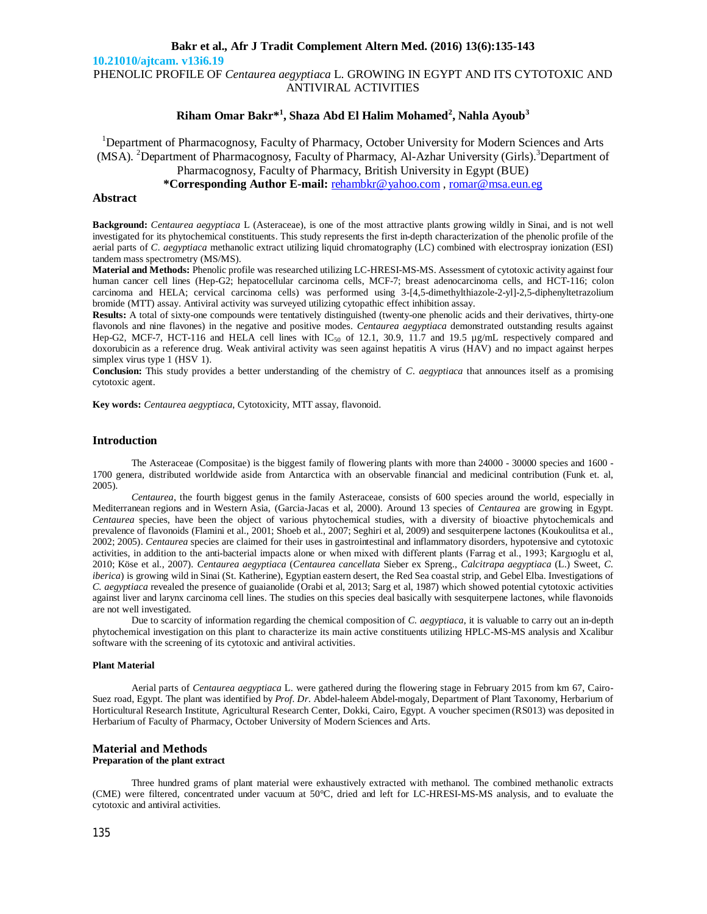**10.21010/ajtcam. v13i6.19**

PHENOLIC PROFILE OF *Centaurea aegyptiaca* L. GROWING IN EGYPT AND ITS CYTOTOXIC AND ANTIVIRAL ACTIVITIES

### **Riham Omar Bakr\* 1 , Shaza Abd El Halim Mohamed<sup>2</sup> , Nahla Ayoub<sup>3</sup>**

<sup>1</sup>Department of Pharmacognosy, Faculty of Pharmacy, October University for Modern Sciences and Arts (MSA). <sup>2</sup>Department of Pharmacognosy, Faculty of Pharmacy, Al-Azhar University (Girls). <sup>3</sup>Department of

**\*Corresponding Author E-mail:** rehambkr@yahoo.com , romar@msa.eun.eg

#### **Abstract**

**Background:** *Centaurea aegyptiaca* L (Asteraceae), is one of the most attractive plants growing wildly in Sinai, and is not well investigated for its phytochemical constituents. This study represents the first in-depth characterization of the phenolic profile of the aerial parts of *C. aegyptiaca* methanolic extract utilizing liquid chromatography (LC) combined with electrospray ionization (ESI) tandem mass spectrometry (MS/MS).

**Material and Methods:** Phenolic profile was researched utilizing LC-HRESI-MS-MS. Assessment of cytotoxic activity against four human cancer cell lines (Hep-G2; hepatocellular carcinoma cells, MCF-7; breast adenocarcinoma cells, and HCT-116; colon carcinoma and HELA; cervical carcinoma cells) was performed using 3-[4,5-dimethylthiazole-2-yl]-2,5-diphenyltetrazolium bromide (MTT) assay. Antiviral activity was surveyed utilizing cytopathic effect inhibition assay.

**Results:** A total of sixty-one compounds were tentatively distinguished (twenty-one phenolic acids and their derivatives, thirty-one flavonols and nine flavones) in the negative and positive modes. *Centaurea aegyptiaca* demonstrated outstanding results against Hep-G2, MCF-7, HCT-116 and HELA cell lines with  $IC_{50}$  of 12.1, 30.9, 11.7 and 19.5  $\mu$ g/mL respectively compared and doxorubicin as a reference drug. Weak antiviral activity was seen against hepatitis A virus (HAV) and no impact against herpes simplex virus type 1 (HSV 1).

**Conclusion:** This study provides a better understanding of the chemistry of *C. aegyptiaca* that announces itself as a promising cytotoxic agent.

**Key words:** *Centaurea aegyptiaca*, Cytotoxicity, MTT assay, flavonoid.

#### **Introduction**

The Asteraceae (Compositae) is the biggest family of flowering plants with more than 24000 - 30000 species and 1600 - 1700 genera, distributed worldwide aside from Antarctica with an observable financial and medicinal contribution (Funk et. al, 2005).

*Centaurea*, the fourth biggest genus in the family Asteraceae, consists of 600 species around the world, especially in Mediterranean regions and in Western Asia, (Garcia-Jacas et al, 2000). Around 13 species of *Centaurea* are growing in Egypt. *Centaurea* species, have been the object of various phytochemical studies, with a diversity of bioactive phytochemicals and prevalence of flavonoids (Flamini et al., 2001; Shoeb et al., 2007; Seghiri et al, 2009) and sesquiterpene lactones (Koukoulitsa et al., 2002; 2005). *Centaurea* species are claimed for their uses in gastrointestinal and inflammatory disorders, hypotensive and cytotoxic activities, in addition to the anti-bacterial impacts alone or when mixed with different plants (Farrag et al., 1993; Kargıoglu et al, 2010; Köse et al., 2007). *Centaurea aegyptiaca* (*Centaurea cancellata* Sieber ex Spreng., *Calcitrapa aegyptiaca* (L.) Sweet, *C. iberica*) is growing wild in Sinai (St. Katherine), Egyptian eastern desert, the Red Sea coastal strip, and Gebel Elba. Investigations of *C. aegyptiaca* revealed the presence of guaianolide (Orabi et al, 2013; Sarg et al, 1987) which showed potential cytotoxic activities against liver and larynx carcinoma cell lines. The studies on this species deal basically with sesquiterpene lactones, while flavonoids are not well investigated.

Due to scarcity of information regarding the chemical composition of *C. aegyptiaca*, it is valuable to carry out an in-depth phytochemical investigation on this plant to characterize its main active constituents utilizing HPLC-MS-MS analysis and Xcalibur software with the screening of its cytotoxic and antiviral activities.

#### **Plant Material**

Aerial parts of *Centaurea aegyptiaca* L. were gathered during the flowering stage in February 2015 from km 67, Cairo-Suez road, Egypt. The plant was identified by *Prof. Dr.* Abdel-haleem Abdel-mogaly, Department of Plant Taxonomy, Herbarium of Horticultural Research Institute, Agricultural Research Center, Dokki, Cairo, Egypt. A voucher specimen (RS013) was deposited in Herbarium of Faculty of Pharmacy, October University of Modern Sciences and Arts.

## **Material and Methods**

### **Preparation of the plant extract**

Three hundred grams of plant material were exhaustively extracted with methanol. The combined methanolic extracts (CME) were filtered, concentrated under vacuum at 50°C, dried and left for LC-HRESI-MS-MS analysis, and to evaluate the cytotoxic and antiviral activities.

Pharmacognosy, Faculty of Pharmacy, British University in Egypt (BUE)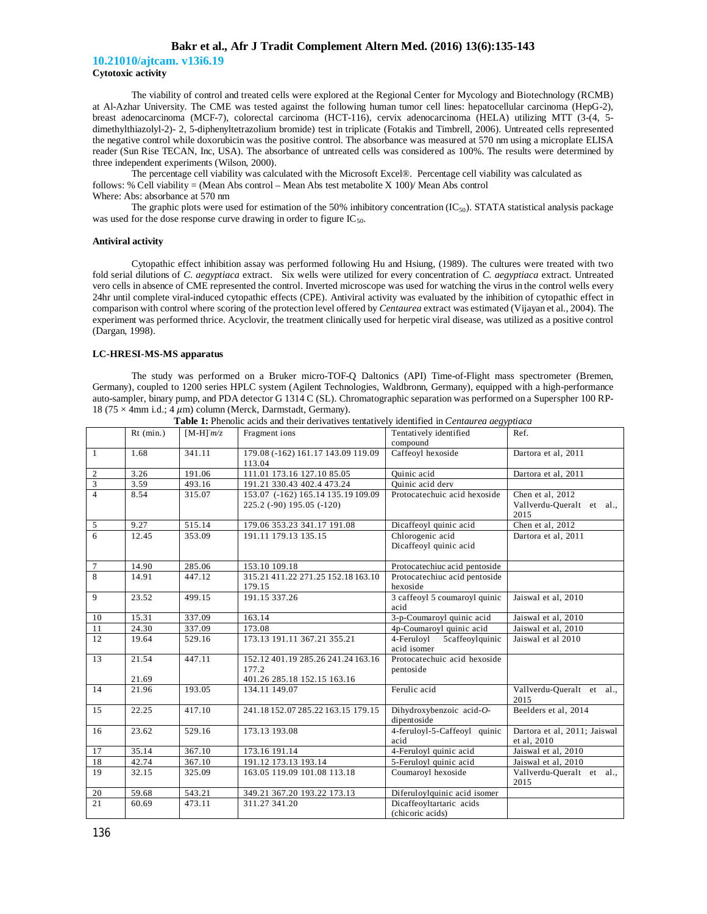**10.21010/ajtcam. v13i6.19 Cytotoxic activity**

The viability of control and treated cells were explored at the Regional Center for Mycology and Biotechnology (RCMB) at Al-Azhar University. The CME was tested against the following human tumor cell lines: hepatocellular carcinoma (HepG-2), breast adenocarcinoma (MCF-7), colorectal carcinoma (HCT-116), cervix adenocarcinoma (HELA) utilizing MTT (3-(4, 5 dimethylthiazolyl-2)- 2, 5-diphenyltetrazolium bromide) test in triplicate (Fotakis and Timbrell, 2006). Untreated cells represented the negative control while doxorubicin was the positive control. The absorbance was measured at 570 nm using a microplate ELISA reader (Sun Rise TECAN, Inc, USA). The absorbance of untreated cells was considered as 100%. The results were determined by three independent experiments (Wilson, 2000).

The percentage cell viability was calculated with the Microsoft Excel®. Percentage cell viability was calculated as follows: % Cell viability = (Mean Abs control – Mean Abs test metabolite X 100)/ Mean Abs control Where: Abs: absorbance at 570 nm

The graphic plots were used for estimation of the 50% inhibitory concentration  $(IC_{50})$ . STATA statistical analysis package was used for the dose response curve drawing in order to figure  $IC_{50}$ .

#### **Antiviral activity**

Cytopathic effect inhibition assay was performed following Hu and Hsiung, (1989). The cultures were treated with two fold serial dilutions of *C. aegyptiaca* extract. Six wells were utilized for every concentration of *C. aegyptiaca* extract. Untreated vero cells in absence of CME represented the control. Inverted microscope was used for watching the virus in the control wells every 24hr until complete viral-induced cytopathic effects (CPE). Antiviral activity was evaluated by the inhibition of cytopathic effect in comparison with control where scoring of the protection level offered by *Centaurea* extract was estimated (Vijayan et al., 2004). The experiment was performed thrice. Acyclovir, the treatment clinically used for herpetic viral disease, was utilized as a positive control (Dargan, 1998).

#### **LC-HRESI-MS-MS apparatus**

The study was performed on a Bruker micro-TOF-Q Daltonics (API) Time-of-Flight mass spectrometer (Bremen, Germany), coupled to 1200 series HPLC system (Agilent Technologies, Waldbronn, Germany), equipped with a high-performance auto-sampler, binary pump, and PDA detector G 1314 C (SL). Chromatographic separation was performed on a Superspher 100 RP-18 (75  $\times$  4mm i.d.; 4  $\mu$ m) column (Merck, Darmstadt, Germany).

|                | $Rt$ (min.)                                                    | $[M-H]^m/z$ | Fragment ions                                                              | Tentatively identified<br>compound           | Ref.                                                  |  |
|----------------|----------------------------------------------------------------|-------------|----------------------------------------------------------------------------|----------------------------------------------|-------------------------------------------------------|--|
| $\mathbf{1}$   | 1.68<br>341.11<br>179.08 (-162) 161.17 143.09 119.09<br>113.04 |             | Caffeoyl hexoside                                                          | Dartora et al, 2011                          |                                                       |  |
| $\overline{c}$ | 3.26                                                           | 191.06      | 111.01 173.16 127.10 85.05                                                 | Quinic acid                                  | Dartora et al, 2011                                   |  |
| $\overline{3}$ | 3.59                                                           | 493.16      | 191.21 330.43 402.4 473.24                                                 | Quinic acid derv                             |                                                       |  |
| $\overline{4}$ | 8.54                                                           | 315.07      | 153.07 (-162) 165.14 135.19 109.09<br>225.2 (-90) 195.05 (-120)            | Protocatechuic acid hexoside                 | Chen et al, 2012<br>Vallverdu-Queralt et al.,<br>2015 |  |
| 5              | 9.27                                                           | 515.14      | 179.06 353.23 341.17 191.08                                                | Dicaffeoyl quinic acid                       | Chen et al. 2012                                      |  |
| 6              | 12.45                                                          | 353.09      | 191.11 179.13 135.15                                                       | Chlorogenic acid<br>Dicaffeoyl quinic acid   |                                                       |  |
| $\overline{7}$ | 14.90                                                          | 285.06      | 153.10 109.18                                                              | Protocatechiuc acid pentoside                |                                                       |  |
| 8              | 14.91                                                          | 447.12      | 315.21 411.22 271.25 152.18 163.10<br>179.15                               | Protocatechiuc acid pentoside<br>hexoside    |                                                       |  |
| 9              | 23.52                                                          | 499.15      | 191.15 337.26                                                              | 3 caffeoyl 5 coumaroyl quinic<br>acid        | Jaiswal et al, 2010                                   |  |
| 10             | 15.31                                                          | 337.09      | 163.14                                                                     | 3-p-Coumaroyl quinic acid                    | Jaiswal et al, 2010                                   |  |
| 11             | 24.30                                                          | 337.09      | 173.08                                                                     | 4p-Coumaroyl quinic acid                     | Jaiswal et al, 2010                                   |  |
| 12             | 19.64                                                          | 529.16      | 173.13 191.11 367.21 355.21                                                | 4-Feruloyl<br>5caffeoylquinic<br>acid isomer | Jaiswal et al 2010                                    |  |
| 13             | 21.54<br>21.69                                                 | 447.11      | 152.12 401.19 285.26 241.24 163.16<br>177.2<br>401.26 285.18 152.15 163.16 | Protocatechuic acid hexoside<br>pentoside    |                                                       |  |
| 14             | 21.96                                                          | 193.05      | 134.11 149.07                                                              | Ferulic acid                                 | Vallverdu-Queralt et al.,<br>2015                     |  |
| 15             | 22.25                                                          | 417.10      | 241.18 152.07 285.22 163.15 179.15                                         | Dihydroxybenzoic acid-O-<br>dipentoside      | Beelders et al, 2014                                  |  |
| 16             | 23.62                                                          | 529.16      | 173.13 193.08                                                              | 4-feruloyl-5-Caffeoyl quinic<br>acid         | Dartora et al, 2011; Jaiswal<br>et al, 2010           |  |
| 17             | 35.14                                                          | 367.10      | 173.16 191.14                                                              | 4-Feruloyl quinic acid                       | Jaiswal et al, 2010                                   |  |
| 18             | 42.74                                                          | 367.10      | 191.12 173.13 193.14                                                       | 5-Feruloyl quinic acid                       | Jaiswal et al, 2010                                   |  |
| 19             | 32.15                                                          | 325.09      | 163.05 119.09 101.08 113.18                                                | Coumaroyl hexoside                           | Vallverdu-Oueralt et al.,<br>2015                     |  |
| 20             | 59.68                                                          | 543.21      | 349.21 367.20 193.22 173.13                                                | Diferuloylquinic acid isomer                 |                                                       |  |
| 21             | 60.69                                                          | 473.11      | 311.27 341.20                                                              | Dicaffeoyltartaric acids<br>(chicoric acids) |                                                       |  |

**Table 1:** Phenolic acids and their derivatives tentatively identified in *Centaurea aegyptiaca*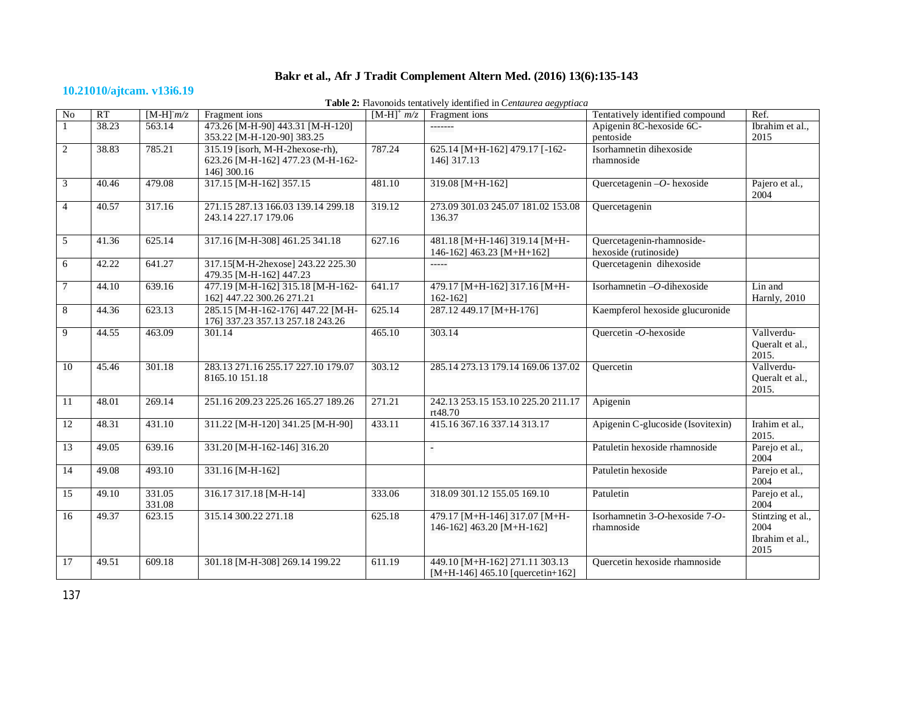# **10.21010/ajtcam. v13i6.19**

**Table 2:** Flavonoids tentatively identified in *Centaurea aegyptiaca*

| No             | RT    | $[M-H]^m/z$      | Fragment ions                                                                       | $[M-H]$ <sup>+</sup> $m/z$ | Fragment ions                                                        | Tentatively identified compound                    | Ref.                                                 |
|----------------|-------|------------------|-------------------------------------------------------------------------------------|----------------------------|----------------------------------------------------------------------|----------------------------------------------------|------------------------------------------------------|
| $\mathbf{1}$   | 38.23 | 563.14           | 473.26 [M-H-90] 443.31 [M-H-120]<br>353.22 [M-H-120-90] 383.25                      |                            | -------                                                              | Apigenin 8C-hexoside 6C-<br>pentoside              | Ibrahim et al.,<br>2015                              |
| $\overline{c}$ | 38.83 | 785.21           | 315.19 [isorh, M-H-2hexose-rh),<br>623.26 [M-H-162] 477.23 (M-H-162-<br>146] 300.16 | 787.24                     | 625.14 [M+H-162] 479.17 [-162-<br>146] 317.13                        | Isorhamnetin dihexoside<br>rhamnoside              |                                                      |
| 3              | 40.46 | 479.08           | 317.15 [M-H-162] 357.15                                                             | 481.10                     | 319.08 [M+H-162]                                                     | Quercetagenin $-O$ - hexoside                      | Pajero et al.,<br>2004                               |
| $\overline{4}$ | 40.57 | 317.16           | 271.15 287.13 166.03 139.14 299.18<br>243.14 227.17 179.06                          | 319.12                     | 273.09 301.03 245.07 181.02 153.08<br>136.37                         | Quercetagenin                                      |                                                      |
| 5              | 41.36 | 625.14           | 317.16 [M-H-308] 461.25 341.18                                                      | 627.16                     | 481.18 [M+H-146] 319.14 [M+H-<br>146-162] 463.23 [M+H+162]           | Quercetagenin-rhamnoside-<br>hexoside (rutinoside) |                                                      |
| 6              | 42.22 | 641.27           | 317.15[M-H-2hexose] 243.22 225.30<br>479.35 [M-H-162] 447.23                        |                            | -----                                                                | Quercetagenin dihexoside                           |                                                      |
| 7              | 44.10 | 639.16           | 477.19 [M-H-162] 315.18 [M-H-162-<br>162] 447.22 300.26 271.21                      | 641.17                     | 479.17 [M+H-162] 317.16 [M+H-<br>162-1621                            | Isorhamnetin -O-dihexoside                         | Lin and<br>Harnly, 2010                              |
| 8              | 44.36 | 623.13           | 285.15 [M-H-162-176] 447.22 [M-H-<br>176] 337.23 357.13 257.18 243.26               | 625.14                     | 287.12 449.17 [M+H-176]                                              | Kaempferol hexoside glucuronide                    |                                                      |
| 9              | 44.55 | 463.09           | 301.14                                                                              | 465.10                     | 303.14                                                               | Quercetin -O-hexoside                              | Vallverdu-<br>Queralt et al.,<br>2015.               |
| 10             | 45.46 | 301.18           | 283.13 271.16 255.17 227.10 179.07<br>8165.10 151.18                                | 303.12                     | 285.14 273.13 179.14 169.06 137.02                                   | Quercetin                                          | Vallverdu-<br>Queralt et al.,<br>2015.               |
| 11             | 48.01 | 269.14           | 251.16 209.23 225.26 165.27 189.26                                                  | 271.21                     | 242.13 253.15 153.10 225.20 211.17<br>rt48.70                        | Apigenin                                           |                                                      |
| 12             | 48.31 | 431.10           | 311.22 [M-H-120] 341.25 [M-H-90]                                                    | 433.11                     | 415.16 367.16 337.14 313.17                                          | Apigenin C-glucoside (Isovitexin)                  | Irahim et al.,<br>2015.                              |
| 13             | 49.05 | 639.16           | 331.20 [M-H-162-146] 316.20                                                         |                            |                                                                      | Patuletin hexoside rhamnoside                      | Parejo et al.,<br>2004                               |
| 14             | 49.08 | 493.10           | 331.16 [M-H-162]                                                                    |                            |                                                                      | Patuletin hexoside                                 | Parejo et al.,<br>2004                               |
| 15             | 49.10 | 331.05<br>331.08 | 316.17 317.18 [M-H-14]                                                              | 333.06                     | 318.09 301.12 155.05 169.10                                          | Patuletin                                          | Parejo et al.,<br>2004                               |
| 16             | 49.37 | 623.15           | 315.14 300.22 271.18                                                                | 625.18                     | 479.17 [M+H-146] 317.07 [M+H-<br>146-162] 463.20 [M+H-162]           | Isorhamnetin 3-O-hexoside 7-O-<br>rhamnoside       | Stintzing et al.,<br>2004<br>Ibrahim et al.,<br>2015 |
| 17             | 49.51 | 609.18           | 301.18 [M-H-308] 269.14 199.22                                                      | 611.19                     | 449.10 [M+H-162] 271.11 303.13<br>$[M+H-146]$ 465.10 [quercetin+162] | Quercetin hexoside rhamnoside                      |                                                      |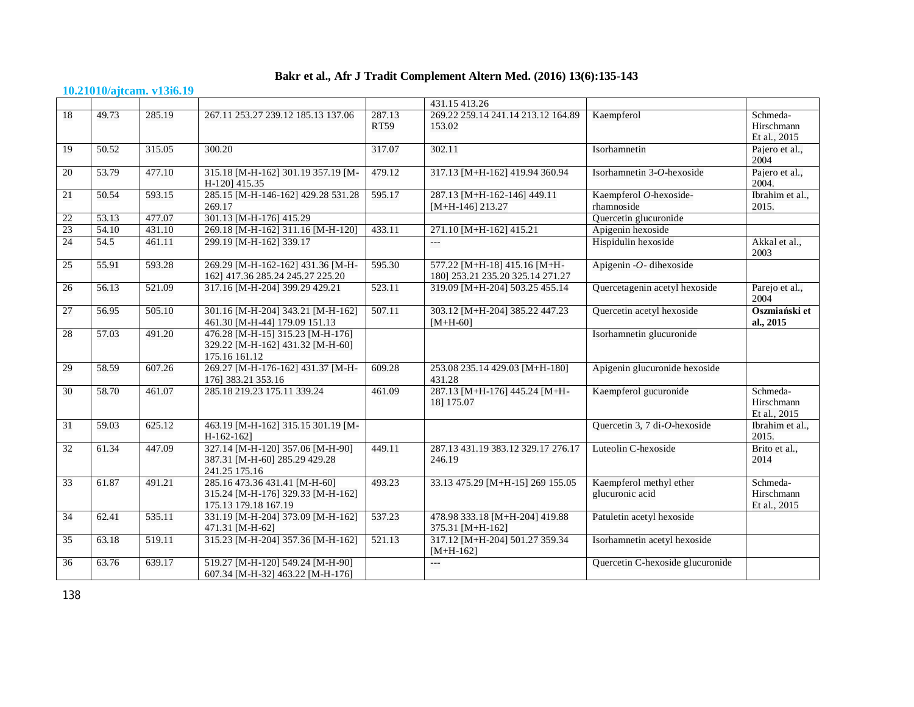### **10.21010/ajtcam. v13i6.19**

|    |       |        |                                                                                            |                       | 431.15 413.26                                                    |                                            |                                        |
|----|-------|--------|--------------------------------------------------------------------------------------------|-----------------------|------------------------------------------------------------------|--------------------------------------------|----------------------------------------|
| 18 | 49.73 | 285.19 | 267.11 253.27 239.12 185.13 137.06                                                         | 287.13<br><b>RT59</b> | 269.22 259.14 241.14 213.12 164.89<br>153.02                     | Kaempferol                                 | Schmeda-<br>Hirschmann<br>Et al., 2015 |
| 19 | 50.52 | 315.05 | 300.20                                                                                     | 317.07                | 302.11                                                           | Isorhamnetin                               | Pajero et al.,<br>2004                 |
| 20 | 53.79 | 477.10 | 315.18 [M-H-162] 301.19 357.19 [M-<br>H-120] 415.35                                        | 479.12                | 317.13 [M+H-162] 419.94 360.94                                   | Isorhamnetin 3-O-hexoside                  | Pajero et al.,<br>2004.                |
| 21 | 50.54 | 593.15 | 285.15 [M-H-146-162] 429.28 531.28<br>269.17                                               | 595.17                | 287.13 [M+H-162-146] 449.11<br>$[M+H-146]$ 213.27                | Kaempferol O-hexoside-<br>rhamnoside       | Ibrahim et al.,<br>2015.               |
| 22 | 53.13 | 477.07 | 301.13 [M-H-176] 415.29                                                                    |                       |                                                                  | Ouercetin glucuronide                      |                                        |
| 23 | 54.10 | 431.10 | 269.18 [M-H-162] 311.16 [M-H-120]                                                          | 433.11                | 271.10 [M+H-162] 415.21                                          | Apigenin hexoside                          |                                        |
| 24 | 54.5  | 461.11 | 299.19 [M-H-162] 339.17                                                                    |                       | <u>.</u>                                                         | Hispidulin hexoside                        | Akkal et al.,<br>2003                  |
| 25 | 55.91 | 593.28 | 269.29 [M-H-162-162] 431.36 [M-H-<br>162] 417.36 285.24 245.27 225.20                      | 595.30                | 577.22 [M+H-18] 415.16 [M+H-<br>180] 253.21 235.20 325.14 271.27 | Apigenin $-O$ - dihexoside                 |                                        |
| 26 | 56.13 | 521.09 | 317.16 [M-H-204] 399.29 429.21                                                             | 523.11                | 319.09 [M+H-204] 503.25 455.14                                   | Quercetagenin acetyl hexoside              | Parejo et al.,<br>2004                 |
| 27 | 56.95 | 505.10 | 301.16 [M-H-204] 343.21 [M-H-162]<br>461.30 [M-H-44] 179.09 151.13                         | 507.11                | 303.12 [M+H-204] 385.22 447.23<br>$[M+H-60]$                     | Quercetin acetyl hexoside                  | Oszmiański et<br>al., 2015             |
| 28 | 57.03 | 491.20 | 476.28 [M-H-15] 315.23 [M-H-176]<br>329.22 [M-H-162] 431.32 [M-H-60]<br>175.16 161.12      |                       |                                                                  | Isorhamnetin glucuronide                   |                                        |
| 29 | 58.59 | 607.26 | 269.27 [M-H-176-162] 431.37 [M-H-<br>176] 383.21 353.16                                    | 609.28                | 253.08 235.14 429.03 [M+H-180]<br>431.28                         | Apigenin glucuronide hexoside              |                                        |
| 30 | 58.70 | 461.07 | 285.18 219.23 175.11 339.24                                                                | 461.09                | 287.13 [M+H-176] 445.24 [M+H-<br>18] 175.07                      | Kaempferol gucuronide                      | Schmeda-<br>Hirschmann<br>Et al., 2015 |
| 31 | 59.03 | 625.12 | 463.19 [M-H-162] 315.15 301.19 [M-<br>$H-162-162$                                          |                       |                                                                  | Quercetin 3, 7 di-O-hexoside               | Ibrahim et al.,<br>2015.               |
| 32 | 61.34 | 447.09 | 327.14 [M-H-120] 357.06 [M-H-90]<br>387.31 [M-H-60] 285.29 429.28<br>241.25 175.16         | 449.11                | 287.13 431.19 383.12 329.17 276.17<br>246.19                     | Luteolin C-hexoside                        | Brito et al.,<br>2014                  |
| 33 | 61.87 | 491.21 | 285.16 473.36 431.41 [M-H-60]<br>315.24 [M-H-176] 329.33 [M-H-162]<br>175.13 179.18 167.19 | 493.23                | 33.13 475.29 [M+H-15] 269 155.05                                 | Kaempferol methyl ether<br>glucuronic acid | Schmeda-<br>Hirschmann<br>Et al., 2015 |
| 34 | 62.41 | 535.11 | 331.19 [M-H-204] 373.09 [M-H-162]<br>471.31 [M-H-62]                                       | 537.23                | 478.98 333.18 [M+H-204] 419.88<br>375.31 [M+H-162]               | Patuletin acetyl hexoside                  |                                        |
| 35 | 63.18 | 519.11 | 315.23 [M-H-204] 357.36 [M-H-162]                                                          | 521.13                | 317.12 [M+H-204] 501.27 359.34<br>$[M+H-162]$                    | Isorhamnetin acetyl hexoside               |                                        |
| 36 | 63.76 | 639.17 | 519.27 [M-H-120] 549.24 [M-H-90]<br>607.34 [M-H-32] 463.22 [M-H-176]                       |                       | ---                                                              | Quercetin C-hexoside glucuronide           |                                        |

138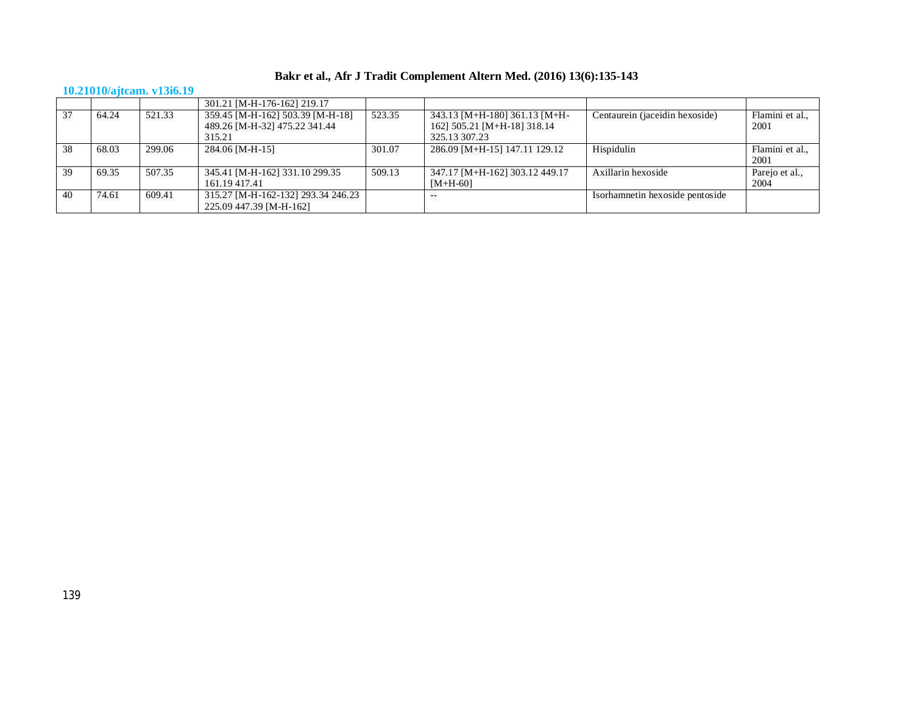## **10.21010/ajtcam. v13i6.19**

|    |       |        | 301.21 [M-H-176-162] 219.17                                       |        |                                                              |                                 |                         |
|----|-------|--------|-------------------------------------------------------------------|--------|--------------------------------------------------------------|---------------------------------|-------------------------|
| 37 | 64.24 | 521.33 | 359.45 [M-H-162] 503.39 [M-H-18]<br>489.26 [M-H-32] 475.22 341.44 | 523.35 | 343.13 [M+H-180] 361.13 [M+H-<br>162] 505.21 [M+H-18] 318.14 | Centaurein (jaceidin hexoside)  | Flamini et al.,<br>2001 |
|    |       |        | 315.21                                                            |        | 325.13 307.23                                                |                                 |                         |
| 38 | 68.03 | 299.06 | 284.06 [M-H-15]                                                   | 301.07 | 286.09 [M+H-15] 147.11 129.12                                | Hispidulin                      | Flamini et al.,<br>2001 |
| 39 | 69.35 | 507.35 | 345.41 [M-H-162] 331.10 299.35<br>161.19417.41                    | 509.13 | 347.17 [M+H-162] 303.12 449.17<br>$[M+H-60]$                 | Axillarin hexoside              | Parejo et al.,<br>2004  |
| 40 | 74.61 | 609.41 | 315.27 [M-H-162-132] 293.34 246.23<br>225.09 447.39 [M-H-162]     |        |                                                              | Isorhamnetin hexoside pentoside |                         |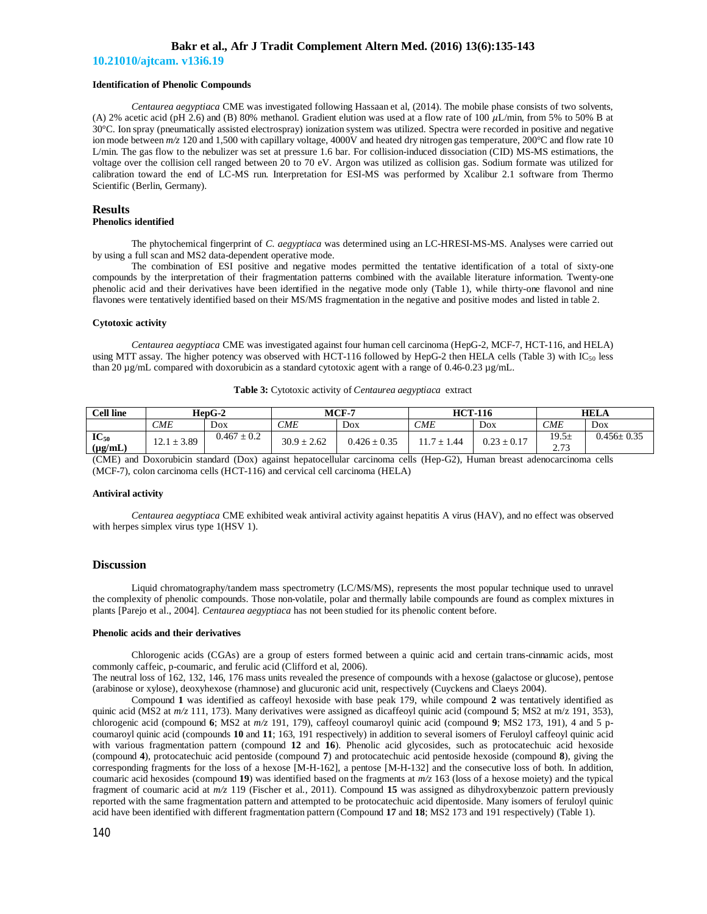**10.21010/ajtcam. v13i6.19**

#### **Identification of Phenolic Compounds**

*Centaurea aegyptiaca* CME was investigated following Hassaan et al, (2014). The mobile phase consists of two solvents, (A) 2% acetic acid (pH 2.6) and (B) 80% methanol. Gradient elution was used at a flow rate of 100  $\mu$ L/min, from 5% to 50% B at 30°C. Ion spray (pneumatically assisted electrospray) ionization system was utilized. Spectra were recorded in positive and negative ion mode between  $m/z$  120 and 1,500 with capillary voltage, 4000V and heated dry nitrogen gas temperature, 200°C and flow rate 10 L/min. The gas flow to the nebulizer was set at pressure 1.6 bar. For collision-induced dissociation (CID) MS-MS estimations, the voltage over the collision cell ranged between 20 to 70 eV. Argon was utilized as collision gas. Sodium formate was utilized for calibration toward the end of LC-MS run. Interpretation for ESI-MS was performed by Xcalibur 2.1 software from Thermo Scientific (Berlin, Germany).

#### **Results Phenolics identified**

The phytochemical fingerprint of *C. aegyptiaca* was determined using an LC-HRESI-MS-MS. Analyses were carried out by using a full scan and MS2 data-dependent operative mode.

The combination of ESI positive and negative modes permitted the tentative identification of a total of sixty-one compounds by the interpretation of their fragmentation patterns combined with the available literature information. Twenty-one phenolic acid and their derivatives have been identified in the negative mode only (Table 1), while thirty-one flavonol and nine flavones were tentatively identified based on their MS/MS fragmentation in the negative and positive modes and listed in table 2.

#### **Cytotoxic activity**

*Centaurea aegyptiaca* CME was investigated against four human cell carcinoma (HepG-2, MCF-7, HCT-116, and HELA) using MTT assay. The higher potency was observed with HCT-116 followed by HepG-2 then HELA cells (Table 3) with  $IC_{50}$  less than 20  $\mu$ g/mL compared with doxorubicin as a standard cytotoxic agent with a range of 0.46-0.23  $\mu$ g/mL.

| <b>Cell line</b>          | $HepG-2$        |                 | $MCF-7$         |                  | <b>HCT-116</b> |                 | <b>HELA</b>   |                  |
|---------------------------|-----------------|-----------------|-----------------|------------------|----------------|-----------------|---------------|------------------|
|                           | CME             | DoX             | <i>CME</i>      | Dox              | CME            | Dox             | <b>CME</b>    | Dox              |
| $IC_{50}$<br>$(\mu g/mL)$ | $12.1 \pm 3.89$ | $0.467 \pm 0.2$ | $30.9 \pm 2.62$ | $0.426 \pm 0.35$ | ± 1.44         | $0.23 \pm 0.17$ | 19.5±<br>2.73 | $0.456 \pm 0.35$ |

**Table 3:** Cytotoxic activity of *Centaurea aegyptiaca* extract

(CME) and Doxorubicin standard (Dox) against hepatocellular carcinoma cells (Hep-G2), Human breast adenocarcinoma cells (MCF-7), colon carcinoma cells (HCT-116) and cervical cell carcinoma (HELA)

#### **Antiviral activity**

*Centaurea aegyptiaca* CME exhibited weak antiviral activity against hepatitis A virus (HAV), and no effect was observed with herpes simplex virus type 1(HSV 1).

#### **Discussion**

Liquid chromatography/tandem mass spectrometry (LC/MS/MS), represents the most popular technique used to unravel the complexity of phenolic compounds. Those non-volatile, polar and thermally labile compounds are found as complex mixtures in plants [Parejo et al., 2004]. *Centaurea aegyptiaca* has not been studied for its phenolic content before.

#### **Phenolic acids and their derivatives**

Chlorogenic acids (CGAs) are a group of esters formed between a quinic acid and certain trans-cinnamic acids, most commonly caffeic, p-coumaric, and ferulic acid (Clifford et al, 2006).

The neutral loss of 162, 132, 146, 176 mass units revealed the presence of compounds with a hexose (galactose or glucose), pentose (arabinose or xylose), deoxyhexose (rhamnose) and glucuronic acid unit, respectively (Cuyckens and Claeys 2004).

Compound **1** was identified as caffeoyl hexoside with base peak 179, while compound **2** was tentatively identified as quinic acid (MS2 at *m/z* 111, 173). Many derivatives were assigned as dicaffeoyl quinic acid (compound **5**; MS2 at m/z 191, 353), chlorogenic acid (compound **6**; MS2 at *m/z* 191, 179), caffeoyl coumaroyl quinic acid (compound **9**; MS2 173, 191), 4 and 5 pcoumaroyl quinic acid (compounds **10** and **11**; 163, 191 respectively) in addition to several isomers of Feruloyl caffeoyl quinic acid with various fragmentation pattern (compound 12 and 16). Phenolic acid glycosides, such as protocatechuic acid hexoside (compound **4**), protocatechuic acid pentoside (compound **7**) and protocatechuic acid pentoside hexoside (compound **8**), giving the corresponding fragments for the loss of a hexose [M-H-162], a pentose [M-H-132] and the consecutive loss of both. In addition, coumaric acid hexosides (compound **19**) was identified based on the fragments at *m/z* 163 (loss of a hexose moiety) and the typical fragment of coumaric acid at *m/z* 119 (Fischer et al., 2011). Compound **15** was assigned as dihydroxybenzoic pattern previously reported with the same fragmentation pattern and attempted to be protocatechuic acid dipentoside. Many isomers of feruloyl quinic acid have been identified with different fragmentation pattern (Compound **17** and **18**; MS2 173 and 191 respectively) (Table 1).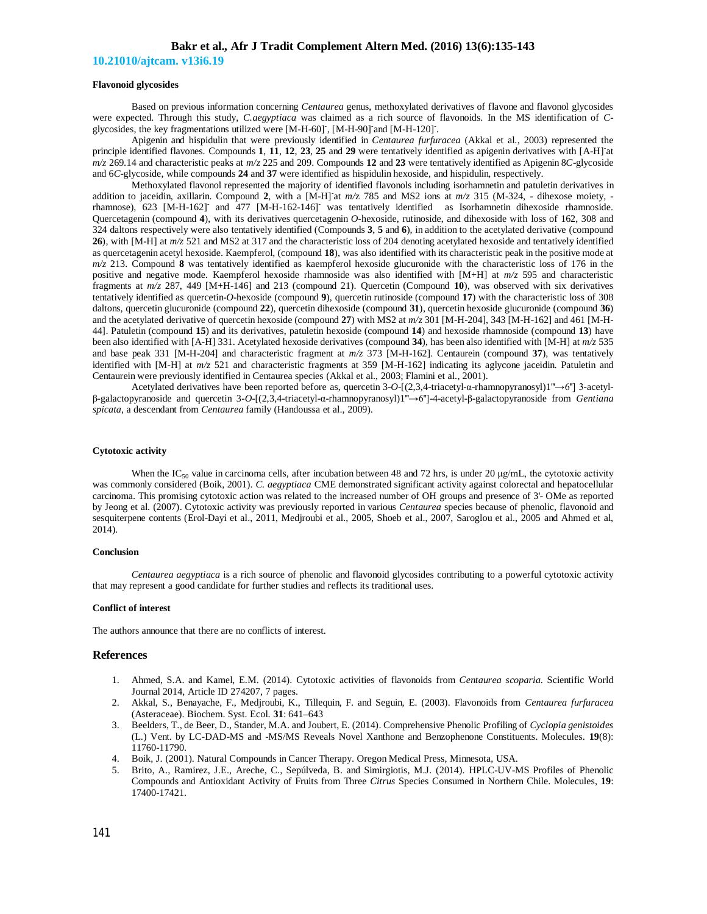**10.21010/ajtcam. v13i6.19**

#### **Flavonoid glycosides**

Based on previous information concerning *Centaurea* genus, methoxylated derivatives of flavone and flavonol glycosides were expected. Through this study, *C.aegyptiaca* was claimed as a rich source of flavonoids. In the MS identification of *C*glycosides, the key fragmentations utilized were [M-H-60] , [M-H-90] and [M-H-120].

Apigenin and hispidulin that were previously identified in *Centaurea furfuracea* (Akkal et al., 2003) represented the principle identified flavones. Compounds **1**, **11**, **12**, **23**, **25** and **29** were tentatively identified as apigenin derivatives with [A-H]- at *m/z* 269.14 and characteristic peaks at *m/z* 225 and 209. Compounds **12** and **23** were tentatively identified as Apigenin 8*C*-glycoside and 6*C*-glycoside, while compounds **24** and **37** were identified as hispidulin hexoside, and hispidulin, respectively.

Methoxylated flavonol represented the majority of identified flavonols including isorhamnetin and patuletin derivatives in addition to jaceidin, axillarin. Compound 2, with a [M-H] at  $m/z$  785 and MS2 ions at  $m/z$  315 (M-324, - dihexose moiety, rhamnose), 623 [M-H-162] and 477 [M-H-162-146] was tentatively identified as Isorhamnetin dihexoside rhamnoside. Quercetagenin (compound **4**), with its derivatives quercetagenin *O*-hexoside, rutinoside, and dihexoside with loss of 162, 308 and 324 daltons respectively were also tentatively identified (Compounds **3**, **5** and **6**), in addition to the acetylated derivative (compound **26**), with [M-H] at *m/z* 521 and MS2 at 317 and the characteristic loss of 204 denoting acetylated hexoside and tentatively identified as quercetagenin acetyl hexoside. Kaempferol, (compound **18**), was also identified with its characteristic peak in the positive mode at *m/z* 213. Compound **8** was tentatively identified as kaempferol hexoside glucuronide with the characteristic loss of 176 in the positive and negative mode. Kaempferol hexoside rhamnoside was also identified with [M+H] at *m/z* 595 and characteristic fragments at *m/z* 287, 449 [M+H-146] and 213 (compound 21). Quercetin (Compound **10**), was observed with six derivatives tentatively identified as quercetin-*O*-hexoside (compound **9**), quercetin rutinoside (compound **17**) with the characteristic loss of 308 daltons, quercetin glucuronide (compound **22**), quercetin dihexoside (compound **31**), quercetin hexoside glucuronide (compound **36**) and the acetylated derivative of quercetin hexoside (compound **27**) with MS2 at *m/z* 301 [M-H-204], 343 [M-H-162] and 461 [M-H-44]. Patuletin (compound **15**) and its derivatives, patuletin hexoside (compound **14**) and hexoside rhamnoside (compound **13**) have been also identified with [A-H] 331. Acetylated hexoside derivatives (compound **34**), has been also identified with [M-H] at *m/z* 535 and base peak 331 [M-H-204] and characteristic fragment at *m/z* 373 [M-H-162]. Centaurein (compound **37**), was tentatively identified with [M-H] at *m/z* 521 and characteristic fragments at 359 [M-H-162] indicating its aglycone jaceidin. Patuletin and Centaurein were previously identified in Centaurea species (Akkal et al., 2003; Flamini et al., 2001).

Acetylated derivatives have been reported before as, quercetin 3-*O*-[(2,3,4-triacetyl-α-rhamnopyranosyl)1'''→6''] 3-acetylβ-galactopyranoside and quercetin 3-*O*-[(2,3,4-triacetyl-α-rhamnopyranosyl)1'''→6'']-4-acetyl-β-galactopyranoside from *Gentiana spicata*, a descendant from *Centaurea* family (Handoussa et al., 2009).

#### **Cytotoxic activity**

When the IC<sub>50</sub> value in carcinoma cells, after incubation between 48 and 72 hrs, is under 20  $\mu g/mL$ , the cytotoxic activity was commonly considered (Boik, 2001). *C. aegyptiaca* CME demonstrated significant activity against colorectal and hepatocellular carcinoma. This promising cytotoxic action was related to the increased number of OH groups and presence of 3'- OMe as reported by Jeong et al. (2007). Cytotoxic activity was previously reported in various *Centaurea* species because of phenolic, flavonoid and sesquiterpene contents (Erol-Dayi et al., 2011, Medjroubi et al., 2005, Shoeb et al., 2007, Saroglou et al., 2005 and Ahmed et al, 2014).

#### **Conclusion**

*Centaurea aegyptiaca* is a rich source of phenolic and flavonoid glycosides contributing to a powerful cytotoxic activity that may represent a good candidate for further studies and reflects its traditional uses.

#### **Conflict of interest**

The authors announce that there are no conflicts of interest.

#### **References**

- 1. Ahmed, S.A. and Kamel, E.M. (2014). Cytotoxic activities of flavonoids from *Centaurea scoparia*. Scientific World Journal 2014, Article ID 274207, 7 pages.
- 2. Akkal, S., Benayache, F., Medjroubi, K., Tillequin, F. and Seguin, E. (2003). Flavonoids from *Centaurea furfuracea*  (Asteraceae). Biochem. Syst. Ecol. **31**: 641–643
- 3. Beelders, T., de Beer, D., Stander, M.A. and Joubert, E. (2014). Comprehensive Phenolic Profiling of *Cyclopia genistoides* (L.) Vent. by LC-DAD-MS and -MS/MS Reveals Novel Xanthone and Benzophenone Constituents. Molecules. **19**(8): 11760-11790.
- 4. Boik, J. (2001). Natural Compounds in Cancer Therapy. Oregon Medical Press, Minnesota, USA.
- 5. Brito, A., Ramirez, J.E., Areche, C., Sepúlveda, B. and Simirgiotis, M.J. (2014). HPLC-UV-MS Profiles of Phenolic Compounds and Antioxidant Activity of Fruits from Three *Citrus* Species Consumed in Northern Chile. Molecules, **19**: 17400-17421.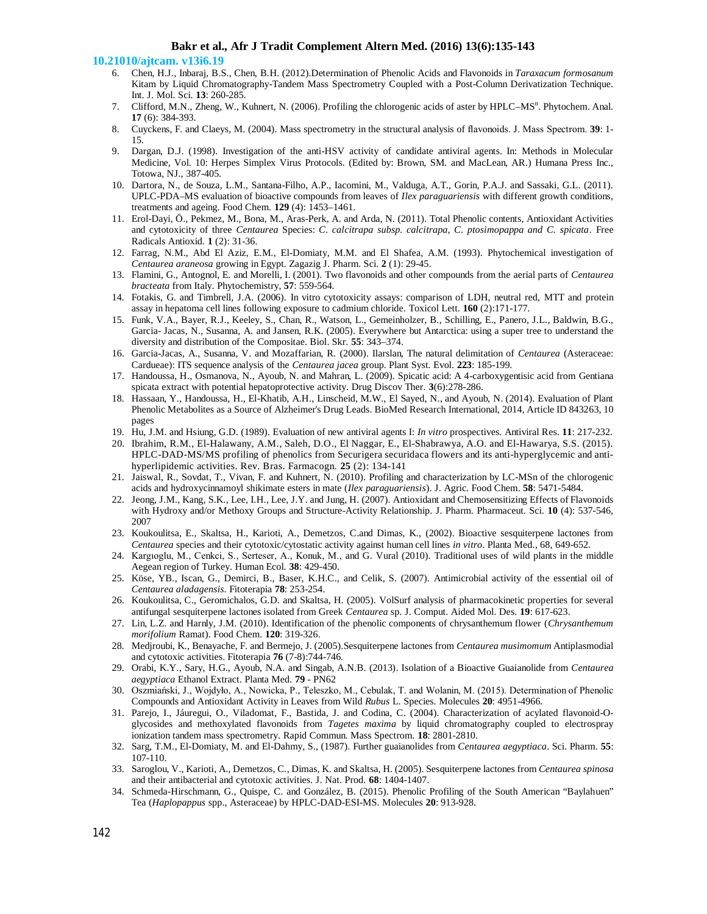#### **10.21010/ajtcam. v13i6.19**

- 6. Chen, H.J., Inbaraj, B.S., Chen, B.H. (2012).Determination of Phenolic Acids and Flavonoids in *Taraxacum formosanum* Kitam by Liquid Chromatography-Tandem Mass Spectrometry Coupled with a Post-Column Derivatization Technique. Int. J. Mol. Sci. **13**: 260-285.
- 7. Clifford, M.N., Zheng, W., Kuhnert, N. (2006). Profiling the chlorogenic acids of aster by HPLC–MS<sup>n</sup>. Phytochem. Anal. **17** (6): 384-393.
- 8. Cuyckens, F. and Claeys, M. (2004). Mass spectrometry in the structural analysis of flavonoids. J. Mass Spectrom. **39**: 1- 15.
- Dargan, D.J. (1998). Investigation of the anti-HSV activity of candidate antiviral agents. In: Methods in Molecular Medicine, Vol. 10: Herpes Simplex Virus Protocols. (Edited by: Brown, SM. and MacLean, AR.) Humana Press Inc., Totowa, NJ., 387-405.
- 10. Dartora, N., de Souza, L.M., Santana-Filho, A.P., Iacomini, M., Valduga, A.T., Gorin, P.A.J. and Sassaki, G.L. (2011). UPLC-PDA–MS evaluation of bioactive compounds from leaves of *Ilex paraguariensis* with different growth conditions, treatments and ageing. Food Chem. **129** (4): 1453–1461.
- 11. Erol-Dayi, Ö., Pekmez, M., Bona, M., Aras-Perk, A. and Arda, N. (2011). Total Phenolic contents, Antioxidant Activities and cytotoxicity of three *Centaurea* Species: *C. calcitrapa subsp. calcitrapa, C. ptosimopappa and C. spicata*. Free Radicals Antioxid. **1** (2): 31-36.
- 12. Farrag, N.M., Abd El Aziz, E.M., El-Domiaty, M.M. and El Shafea, A.M. (1993). Phytochemical investigation of *Centaurea araneosa* growing in Egypt. Zagazig J. Pharm. Sci. **2** (1): 29-45.
- 13. Flamini, G., Antognol, E. and Morelli, I. (2001). Two flavonoids and other compounds from the aerial parts of *Centaurea bracteata* from Italy. Phytochemistry, **57**: 559-564.
- 14. Fotakis, G. and Timbrell, J.A. (2006). In vitro cytotoxicity assays: comparison of LDH, neutral red, MTT and protein assay in hepatoma cell lines following exposure to cadmium chloride. Toxicol Lett. **160** (2):171-177.
- 15. Funk, V.A., Bayer, R.J., Keeley, S., Chan, R., Watson, L., Gemeinholzer, B., Schilling, E., Panero, J.L., Baldwin, B.G., Garcia- Jacas, N., Susanna, A. and Jansen, R.K. (2005). Everywhere but Antarctica: using a super tree to understand the diversity and distribution of the Compositae. Biol. Skr. **55**: 343–374.
- 16. Garcia-Jacas, A., Susanna, V. and Mozaffarian, R. (2000). Ilarslan, The natural delimitation of *Centaurea* (Asteraceae: Cardueae): ITS sequence analysis of the *Centaurea jacea* group. Plant Syst. Evol. **223**: 185-199.
- 17. Handoussa, H., Osmanova, N., Ayoub, N. and Mahran, L. (2009). Spicatic acid: A 4-carboxygentisic acid from Gentiana spicata extract with potential hepatoprotective activity. Drug Discov Ther. **3**(6):278-286.
- 18. Hassaan, Y., Handoussa, H., El-Khatib, A.H., Linscheid, M.W., El Sayed, N., and Ayoub, N. (2014). Evaluation of Plant Phenolic Metabolites as a Source of Alzheimer's Drug Leads. BioMed Research International, 2014, Article ID 843263, 10 pages
- 19. Hu, J.M. and Hsiung, G.D. (1989). Evaluation of new antiviral agents I: *In vitro* prospectives. Antiviral Res. **11**: 217-232.
- 20. Ibrahim, R.M., El-Halawany, A.M., Saleh, D.O., El Naggar, E., El-Shabrawya, A.O. and El-Hawarya, S.S. (2015). HPLC-DAD-MS/MS profiling of phenolics from Securigera securidaca flowers and its anti-hyperglycemic and antihyperlipidemic activities. Rev. Bras. Farmacogn. **25** (2): 134-141
- 21. Jaiswal, R., Sovdat, T., Vivan, F. and Kuhnert, N. (2010). Profiling and characterization by LC-MSn of the chlorogenic acids and hydroxycinnamoyl shikimate esters in mate (*Ilex paraguariensis*). J. Agric. Food Chem. **58**: 5471-5484.
- 22. Jeong, J.M., Kang, S.K., Lee, I.H., Lee, J.Y. and Jung, H. (2007). Antioxidant and Chemosensitizing Effects of Flavonoids with Hydroxy and/or Methoxy Groups and Structure-Activity Relationship. J. Pharm. Pharmaceut. Sci. **10** (4): 537-546, 2007
- 23. Koukoulitsa, E., Skaltsa, H., Karioti, A., Demetzos, C.and Dimas, K., (2002). Bioactive sesquiterpene lactones from *Centaurea* species and their cytotoxic/cytostatic activity against human cell lines *in vitro*. Planta Med., 68, 649-652.
- 24. Kargıoglu, M., Cenkci, S., Serteser, A., Konuk, M., and G. Vural (2010). Traditional uses of wild plants in the middle Aegean region of Turkey. Human Ecol. **38**: 429-450.
- 25. Köse, YB., Iscan, G., Demirci, B., Baser, K.H.C., and Celik, S. (2007). Antimicrobial activity of the essential oil of *Centaurea aladagensis*. Fitoterapia **78**: 253-254.
- 26. Koukoulitsa, C., Geromichalos, G.D. and Skaltsa, H. (2005). VolSurf analysis of pharmacokinetic properties for several antifungal sesquiterpene lactones isolated from Greek *Centaurea* sp. J. Comput. Aided Mol. Des. **19**: 617-623.
- 27. Lin, L.Z. and Harnly, J.M. (2010). Identification of the phenolic components of chrysanthemum flower (*Chrysanthemum morifolium* Ramat). Food Chem. **120**: 319-326.
- 28. Medjroubi, K., Benayache, F. and Bermejo, J. (2005).Sesquiterpene lactones from *Centaurea musimomum* Antiplasmodial and cytotoxic activities. Fitoterapia **76** (7-8):744-746.
- 29. Orabi, K.Y., Sary, H.G., Ayoub, N.A. and Singab, A.N.B. (2013). Isolation of a Bioactive Guaianolide from *Centaurea aegyptiaca* Ethanol Extract. Planta Med. **79** - PN62
- 30. Oszmiański, J., Wojdyło, A., Nowicka, P., Teleszko, M., Cebulak, T. and Wolanin, M. (2015). Determination of Phenolic Compounds and Antioxidant Activity in Leaves from Wild *Rubus* L. Species. Molecules **20**: 4951-4966.
- 31. Parejo, I., Jáuregui, O., Viladomat, F., Bastida, J. and Codina, C. (2004). Characterization of acylated flavonoid-Oglycosides and methoxylated flavonoids from *Tagetes maxima* by liquid chromatography coupled to electrospray ionization tandem mass spectrometry. Rapid Commun. Mass Spectrom. **18**: 2801-2810.
- 32. Sarg, T.M., El-Domiaty, M. and El-Dahmy, S., (1987). Further guaianolides from *Centaurea aegyptiaca*. Sci. Pharm. **55**: 107-110.
- 33. Saroglou, V., Karioti, A., Demetzos, C., Dimas, K. and Skaltsa, H. (2005). Sesquiterpene lactones from *Centaurea spinosa* and their antibacterial and cytotoxic activities. J. Nat. Prod. **68**: 1404-1407.
- 34. Schmeda-Hirschmann, G., Quispe, C. and González, B. (2015). Phenolic Profiling of the South American "Baylahuen" Tea (*Haplopappus* spp., Asteraceae) by HPLC-DAD-ESI-MS. Molecules **20**: 913-928.